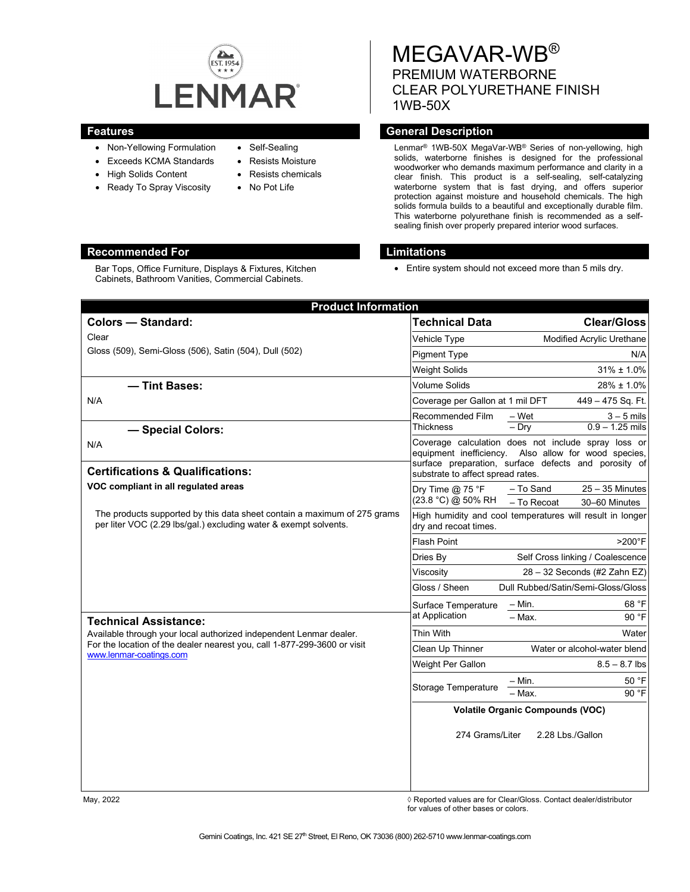

- Non-Yellowing Formulation
- Exceeds KCMA Standards
- High Solids Content
- Ready To Spray Viscosity
- Self-Sealing
- Resists Moisture
- Resists chemicals
- No Pot Life

# MEGAVAR-WB® PREMIUM WATERBORNE CLEAR POLYURETHANE FINISH 1WB-50X

### **Features General Description**

Lenmar® 1WB-50X MegaVar-WB® Series of non-yellowing, high solids, waterborne finishes is designed for the professional woodworker who demands maximum performance and clarity in a clear finish. This product is a self-sealing, self-catalyzing waterborne system that is fast drying, and offers superior protection against moisture and household chemicals. The high solids formula builds to a beautiful and exceptionally durable film. This waterborne polyurethane finish is recommended as a selfsealing finish over properly prepared interior wood surfaces.

### **Recommended For Limitations**

• Entire system should not exceed more than 5 mils dry.

| <b>Product Information</b>                                                                                                                   |                                          |                                                                                                             |
|----------------------------------------------------------------------------------------------------------------------------------------------|------------------------------------------|-------------------------------------------------------------------------------------------------------------|
| <b>Colors - Standard:</b>                                                                                                                    | <b>Technical Data</b>                    | <b>Clear/Gloss</b>                                                                                          |
| Clear                                                                                                                                        | Vehicle Type                             | Modified Acrylic Urethane                                                                                   |
| Gloss (509), Semi-Gloss (506), Satin (504), Dull (502)                                                                                       | <b>Pigment Type</b>                      | N/A                                                                                                         |
|                                                                                                                                              | <b>Weight Solids</b>                     | $31\% \pm 1.0\%$                                                                                            |
| - Tint Bases:                                                                                                                                | Volume Solids                            | 28% ± 1.0%                                                                                                  |
| N/A                                                                                                                                          | Coverage per Gallon at 1 mil DFT         | 449 - 475 Sq. Ft.                                                                                           |
|                                                                                                                                              | Recommended Film                         | – Wet<br>$3 - 5$ mils                                                                                       |
| - Special Colors:                                                                                                                            | <b>Thickness</b>                         | $0.9 - 1.25$ mils<br>$-$ Dry                                                                                |
| N/A                                                                                                                                          |                                          | Coverage calculation does not include spray loss or<br>equipment inefficiency. Also allow for wood species, |
| <b>Certifications &amp; Qualifications:</b>                                                                                                  | substrate to affect spread rates.        | surface preparation, surface defects and porosity of                                                        |
| VOC compliant in all regulated areas                                                                                                         | Dry Time $@$ 75 °F<br>(23.8 °C) @ 50% RH | $25 - 35$ Minutes<br>- To Sand<br>- To Recoat<br>30-60 Minutes                                              |
| The products supported by this data sheet contain a maximum of 275 grams<br>per liter VOC (2.29 lbs/gal.) excluding water & exempt solvents. | dry and recoat times.                    | High humidity and cool temperatures will result in longer                                                   |
|                                                                                                                                              | <b>Flash Point</b>                       | $>200^\circ F$                                                                                              |
|                                                                                                                                              | Dries By                                 | Self Cross linking / Coalescence                                                                            |
|                                                                                                                                              | Viscositv                                | 28 - 32 Seconds (#2 Zahn EZ)                                                                                |
|                                                                                                                                              | Gloss / Sheen                            | Dull Rubbed/Satin/Semi-Gloss/Gloss                                                                          |
|                                                                                                                                              | Surface Temperature                      | $-$ Min.<br>68 °F                                                                                           |
| <b>Technical Assistance:</b>                                                                                                                 | at Application                           | - Max.<br>90 °F                                                                                             |
| Available through your local authorized independent Lenmar dealer.                                                                           | <b>Thin With</b>                         | Water                                                                                                       |
| For the location of the dealer nearest you, call 1-877-299-3600 or visit<br>www.lenmar-coatings.com                                          | Clean Up Thinner                         | Water or alcohol-water blend                                                                                |
|                                                                                                                                              | Weight Per Gallon                        | $8.5 - 8.7$ lbs                                                                                             |
|                                                                                                                                              | Storage Temperature                      | $-$ Min.<br>50 °F                                                                                           |
|                                                                                                                                              |                                          | - Max.<br>90 °F                                                                                             |
|                                                                                                                                              | <b>Volatile Organic Compounds (VOC)</b>  |                                                                                                             |
|                                                                                                                                              | 274 Grams/Liter                          | 2.28 Lbs./Gallon                                                                                            |
|                                                                                                                                              |                                          |                                                                                                             |
| May, 2022                                                                                                                                    |                                          | ◊ Reported values are for Clear/Gloss. Contact dealer/distributor                                           |

for values of other bases or colors.



Cabinets, Bathroom Vanities, Commercial Cabinets.